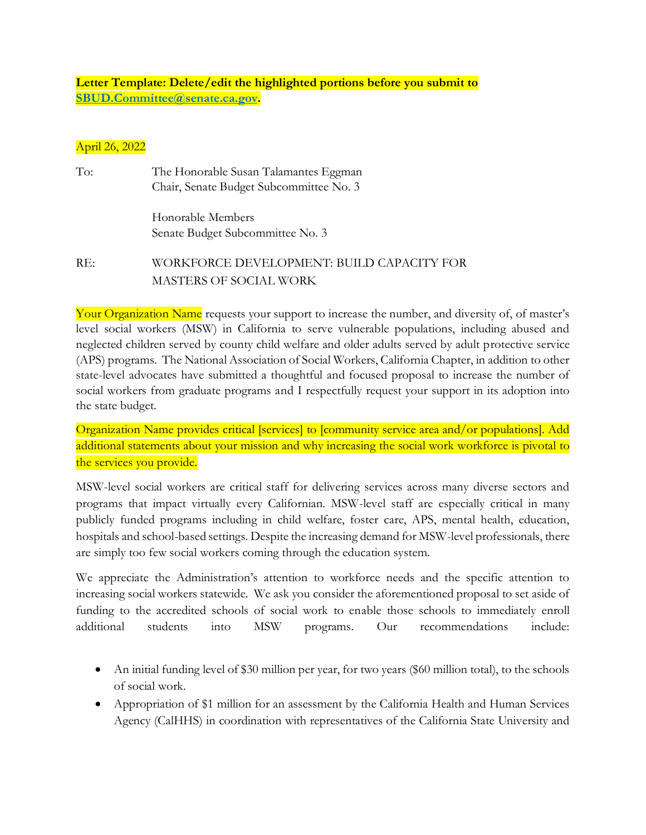**Letter Template: Delete/edit the highlighted portions before you submit to [SBUD.Committee@senate.ca.gov.](mailto:SBUD.Committee@senate.ca.gov)**

## April 26, 2022

| To: | The Honorable Susan Talamantes Eggman<br>Chair, Senate Budget Subcommittee No. 3 |
|-----|----------------------------------------------------------------------------------|
|     | Honorable Members<br>Senate Budget Subcommittee No. 3                            |
| RE: | WORKFORCE DEVELOPMENT: BUILD CAPACITY FOR<br>MASTERS OF SOCIAL WORK              |

Your Organization Name requests your support to increase the number, and diversity of, of master's level social workers (MSW) in California to serve vulnerable populations, including abused and neglected children served by county child welfare and older adults served by adult protective service (APS) programs. The National Association of Social Workers, California Chapter, in addition to other state-level advocates have submitted a thoughtful and focused proposal to increase the number of social workers from graduate programs and I respectfully request your support in its adoption into the state budget.

Organization Name provides critical [services] to [community service area and/or populations]. Add additional statements about your mission and why increasing the social work workforce is pivotal to the services you provide.

MSW-level social workers are critical staff for delivering services across many diverse sectors and programs that impact virtually every Californian. MSW-level staff are especially critical in many publicly funded programs including in child welfare, foster care, APS, mental health, education, hospitals and school-based settings. Despite the increasing demand for MSW-level professionals, there are simply too few social workers coming through the education system.

We appreciate the Administration's attention to workforce needs and the specific attention to increasing social workers statewide. We ask you consider the aforementioned proposal to set aside of funding to the accredited schools of social work to enable those schools to immediately enroll additional students into MSW programs. Our recommendations include:

- An initial funding level of \$30 million per year, for two years (\$60 million total), to the schools of social work.
- Appropriation of \$1 million for an assessment by the California Health and Human Services Agency (CalHHS) in coordination with representatives of the California State University and